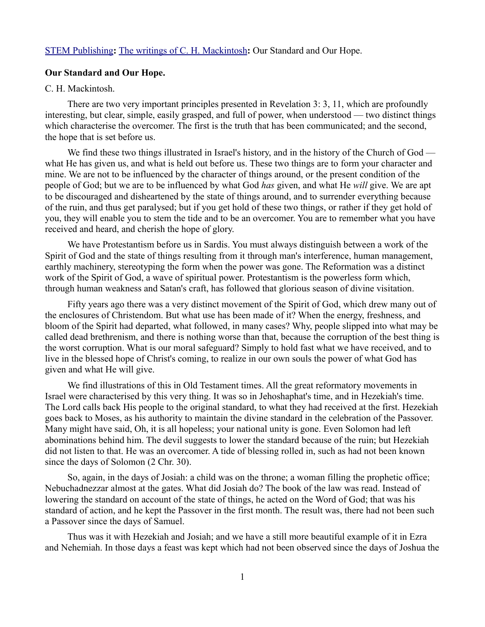[STEM Publishing](http://www.stempublishing.com/)**:** [The writings of C. H. Mackintosh](http://www.stempublishing.com/authors/mackintosh/index.html)**:** Our Standard and Our Hope.

## **Our Standard and Our Hope.**

## C. H. Mackintosh.

There are two very important principles presented in Revelation 3: 3, 11, which are profoundly interesting, but clear, simple, easily grasped, and full of power, when understood — two distinct things which characterise the overcomer. The first is the truth that has been communicated; and the second, the hope that is set before us.

We find these two things illustrated in Israel's history, and in the history of the Church of God what He has given us, and what is held out before us. These two things are to form your character and mine. We are not to be influenced by the character of things around, or the present condition of the people of God; but we are to be influenced by what God *has* given, and what He *will* give. We are apt to be discouraged and disheartened by the state of things around, and to surrender everything because of the ruin, and thus get paralysed; but if you get hold of these two things, or rather if they get hold of you, they will enable you to stem the tide and to be an overcomer. You are to remember what you have received and heard, and cherish the hope of glory.

We have Protestantism before us in Sardis. You must always distinguish between a work of the Spirit of God and the state of things resulting from it through man's interference, human management, earthly machinery, stereotyping the form when the power was gone. The Reformation was a distinct work of the Spirit of God, a wave of spiritual power. Protestantism is the powerless form which, through human weakness and Satan's craft, has followed that glorious season of divine visitation.

Fifty years ago there was a very distinct movement of the Spirit of God, which drew many out of the enclosures of Christendom. But what use has been made of it? When the energy, freshness, and bloom of the Spirit had departed, what followed, in many cases? Why, people slipped into what may be called dead brethrenism, and there is nothing worse than that, because the corruption of the best thing is the worst corruption. What is our moral safeguard? Simply to hold fast what we have received, and to live in the blessed hope of Christ's coming, to realize in our own souls the power of what God has given and what He will give.

We find illustrations of this in Old Testament times. All the great reformatory movements in Israel were characterised by this very thing. It was so in Jehoshaphat's time, and in Hezekiah's time. The Lord calls back His people to the original standard, to what they had received at the first. Hezekiah goes back to Moses, as his authority to maintain the divine standard in the celebration of the Passover. Many might have said, Oh, it is all hopeless; your national unity is gone. Even Solomon had left abominations behind him. The devil suggests to lower the standard because of the ruin; but Hezekiah did not listen to that. He was an overcomer. A tide of blessing rolled in, such as had not been known since the days of Solomon (2 Chr. 30).

So, again, in the days of Josiah: a child was on the throne; a woman filling the prophetic office; Nebuchadnezzar almost at the gates. What did Josiah do? The book of the law was read. Instead of lowering the standard on account of the state of things, he acted on the Word of God; that was his standard of action, and he kept the Passover in the first month. The result was, there had not been such a Passover since the days of Samuel.

Thus was it with Hezekiah and Josiah; and we have a still more beautiful example of it in Ezra and Nehemiah. In those days a feast was kept which had not been observed since the days of Joshua the